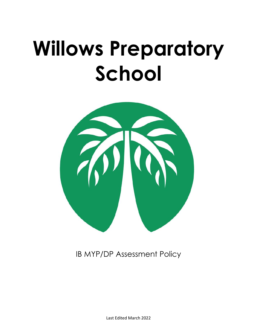# <span id="page-0-0"></span>**Willows Preparatory School**



IB MYP/DP Assessment Policy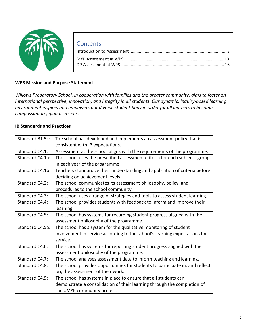

| Contents |  |
|----------|--|
|          |  |
|          |  |
|          |  |

#### **WPS Mission and Purpose Statement**

*Willows Preparatory School, in cooperation with families and the greater community, aims to foster an international perspective, innovation, and integrity in all students. Our dynamic, inquiry-based learning environment inspires and empowers our diverse student body in order for all learners to become compassionate, global citizens.*

#### **IB Standards and Practices**

| Standard B1.5c: | The school has developed and implements an assessment policy that is          |
|-----------------|-------------------------------------------------------------------------------|
|                 | consistent with IB expectations.                                              |
| Standard C4.1:  | Assessment at the school aligns with the requirements of the programme.       |
| Standard C4.1a: | The school uses the prescribed assessment criteria for each subject group     |
|                 | in each year of the programme.                                                |
| Standard C4.1b: | Teachers standardize their understanding and application of criteria before   |
|                 | deciding on achievement levels                                                |
| Standard C4.2:  | The school communicates its assessment philosophy, policy, and                |
|                 | procedures to the school community.                                           |
| Standard C4.3:  | The school uses a range of strategies and tools to assess student learning.   |
| Standard C4.4:  | The school provides students with feedback to inform and improve their        |
|                 | learning.                                                                     |
| Standard C4.5:  | The school has systems for recording student progress aligned with the        |
|                 | assessment philosophy of the programme.                                       |
| Standard C4.5a: | The school has a system for the qualitative monitoring of student             |
|                 | involvement in service according to the school's learning expectations for    |
|                 | service.                                                                      |
| Standard C4.6:  | The school has systems for reporting student progress aligned with the        |
|                 | assessment philosophy of the programme.                                       |
| Standard C4.7:  | The school analyses assessment data to inform teaching and learning.          |
| Standard C4.8:  | The school provides opportunities for students to participate in, and reflect |
|                 | on, the assessment of their work.                                             |
| Standard C4.9:  | The school has systems in place to ensure that all students can               |
|                 | demonstrate a consolidation of their learning through the completion of       |
|                 | theMYP community project.                                                     |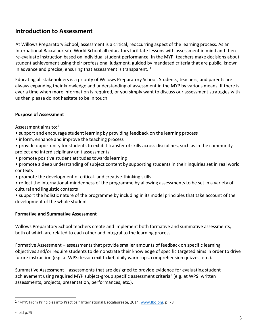# **Introduction to Assessment**

At Willows Preparatory School, assessment is a critical, reoccurring aspect of the learning process. As an International Baccalaureate World School all educators facilitate lessons with assessment in mind and then re-evaluate instruction based on individual student performance. In the MYP, teachers make decisions about student achievement using their professional judgment, guided by mandated criteria that are public, known in advance and precise, ensuring that assessment is transparent.  $1$ 

Educating all stakeholders is a priority of Willows Preparatory School. Students, teachers, and parents are always expanding their knowledge and understanding of assessment in the MYP by various means. If there is ever a time when more information is required, or you simply want to discuss our assessment strategies with us then please do not hesitate to be in touch.

#### **Purpose of Assessment**

Assessment aims to:<sup>1</sup>

- support and encourage student learning by providing feedback on the learning process
- inform, enhance and improve the teaching process
- provide opportunity for students to exhibit transfer of skills across disciplines, such as in the community project and interdisciplinary unit assessments
- promote positive student attitudes towards learning
- promote a deep understanding of subject content by supporting students in their inquiries set in real world contexts
- promote the development of critical- and creative-thinking skills
- reflect the international-mindedness of the programme by allowing assessments to be set in a variety of cultural and linguistic contexts
- support the holistic nature of the programme by including in its model principles that take account of the development of the whole student

#### **Formative and Summative Assessment**

Willows Preparatory School teachers create and implement both formative and summative assessments, both of which are related to each other and integral to the learning process.

Formative Assessment – assessments that provide smaller amounts of feedback on specific learning objectives and/or require students to demonstrate their knowledge of specific targeted aims in order to drive future instruction (e.g. at WPS: lesson exit ticket, daily warm-ups, comprehension quizzes, etc.).

Summative Assessment – assessments that are designed to provide evidence for evaluating student achievement using required MYP subject-group specific assessment criteria<sup>2</sup> (e.g. at WPS: written assessments, projects, presentation, performances, etc.).

<sup>&</sup>lt;sup>1</sup> "MYP: From Principles into Practice." International Baccalaureate, 2014. [www.Ibo.org](http://www.ibo.org/). p. 78.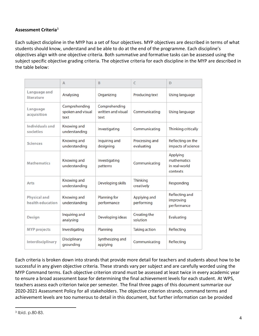#### **Assessment Criteria**<sup>3</sup>

Each subject discipline in the MYP has a set of four objectives. MYP objectives are described in terms of what students should know, understand and be able to do at the end of the programme. Each discipline's objectives align with one objective criteria. Both summative and formative tasks can be assessed using the subject specific objective grading criteria. The objective criteria for each discipline in the MYP are described in the table below:

|                                  | A                                          | B                                           | C                            | D                                                    |
|----------------------------------|--------------------------------------------|---------------------------------------------|------------------------------|------------------------------------------------------|
| Language and<br>literature       | Analysing                                  | Organizing                                  | Producing text               | Using language                                       |
| Language<br>acquisition          | Comprehending<br>spoken and visual<br>text | Comprehending<br>written and visual<br>text | Communicating                | Using language                                       |
| Individuals and<br>societies     | Knowing and<br>understanding               | Investigating                               | Communicating                | <b>Thinking critically</b>                           |
| <b>Sciences</b>                  | Knowing and<br>understanding               | Inquiring and<br>designing                  | Processing and<br>evaluating | Reflecting on the<br>impacts of science              |
| <b>Mathematics</b>               | Knowing and<br>understanding               | Investigating<br>patterns                   | Communicating                | Applying<br>mathematics<br>in real-world<br>contexts |
| Arts                             | Knowing and<br>understanding               | Developing skills                           | Thinking<br>creatively       | Responding                                           |
| Physical and<br>health education | Knowing and<br>understanding               | Planning for<br>performance                 | Applying and<br>performing   | Reflecting and<br>improving<br>performance           |
| Design                           | Inquiring and<br>analysing                 | Developing ideas                            | Creating the<br>solution     | Evaluating                                           |
| <b>MYP</b> projects              | Investigating                              | Planning                                    | <b>Taking action</b>         | Reflecting                                           |
| Interdisciplinary                | Disciplinary<br>grounding                  | Synthesizing and<br>applying                | Communicating                | Reflecting                                           |

Each criteria is broken down into strands that provide more detail for teachers and students about how to be successful in any given objective criteria. These strands vary per subject and are carefully worded using the MYP Command terms. Each objective criterion strand must be assessed at least twice in every academic year to ensure a broad assessment base for determining the final achievement levels for each student. At WPS, teachers assess each criterion twice per semester. The final three pages of this document summarize our 2020-2021 Assessment Policy for all stakeholders. The objective criterion strands, command terms and achievement levels are too numerous to detail in this document, but further information can be provided

<sup>3</sup> Ibid. p.80-83.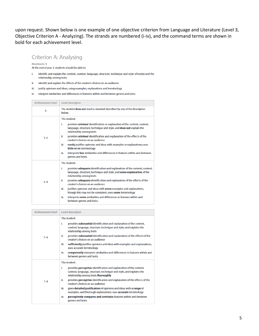upon request. Shown below is one example of one objective criterion from Language and Literature (Level 3, Objective Criterion A - Analyzing). The strands are numbered (i-iv), and the command terms are shown in bold for each achievement level.

## **Criterion A: Analysing**

#### Maximum: 8

At the end of year 3, students should be able to:

- identify and explain the content, context, language, structure, technique and style of text(s) and the L. relationship among texts
- ii. identify and explain the effects of the creator's choices on an audience
- iii. justify opinions and ideas, using examples, explanations and terminology
- iv. interpret similarities and differences in features within and between genres and texts.

| <b>Achievement level</b> | Level descriptor                                                                                                                                                                     |  |  |
|--------------------------|--------------------------------------------------------------------------------------------------------------------------------------------------------------------------------------|--|--|
| $\bf{0}$                 | The student <b>does not</b> reach a standard described by any of the descriptors<br>below.                                                                                           |  |  |
|                          | The student:<br>provides minimal identification or explanation of the content, context,<br>i.<br>language, structure, technique and style, and does not explain the                  |  |  |
| $1 - 2$                  | relationship among texts<br>provides minimal identification and explanation of the effects of the<br>ii.<br>creator's choices on an audience                                         |  |  |
|                          | rarely justifies opinions and ideas with examples or explanations; uses<br>iii.<br>little or no terminology                                                                          |  |  |
|                          | interprets few similarities and differences in features within and between<br>iv.<br>genres and texts.                                                                               |  |  |
|                          | The student:                                                                                                                                                                         |  |  |
|                          | provides adequate identification and explanation of the content, context,<br>i.<br>language, structure, technique and style, and some explanation of the<br>relationship among texts |  |  |
| $3 - 4$                  | provides <b>adequate</b> identification and explanation of the effects of the<br>ii.<br>creator's choices on an audience                                                             |  |  |
|                          | justifies opinions and ideas with some examples and explanations,<br>iii.<br>though this may not be consistent; uses some terminology                                                |  |  |
|                          | interprets some similarities and differences in features within and<br>iv.<br>between genres and texts.                                                                              |  |  |

| <b>Achievement level</b> | <b>Level descriptor</b>                                                                                                                                                                                                                                                                                                                                                                                                                                                                                                                                                      |  |  |
|--------------------------|------------------------------------------------------------------------------------------------------------------------------------------------------------------------------------------------------------------------------------------------------------------------------------------------------------------------------------------------------------------------------------------------------------------------------------------------------------------------------------------------------------------------------------------------------------------------------|--|--|
| $5 - 6$                  | The student:<br>provides substantial identification and explanation of the content,<br>i.<br>context, language, structure, technique and style, and explains the<br>relationship among texts<br>provides substantial identification and explanation of the effects of the<br>ii.<br>creator's choices on an audience<br>sufficiently justifies opinions and ideas with examples and explanations;<br>iii.<br>uses accurate terminology<br>competently interprets similarities and differences in features within and<br>iv.<br>between genres and texts.                     |  |  |
| $7 - 8$                  | The student:<br>provides perceptive identification and explanation of the content,<br>i.<br>context, language, structure, technique and style, and explains the<br>relationship among texts thoroughly<br>provides perceptive identification and explanation of the effects of the<br>ii.<br>creator's choices on an audience<br>gives detailed justification of opinions and ideas with a range of<br>iii.<br>examples, and thorough explanations; uses accurate terminology<br>perceptively compares and contrasts features within and between<br>iv.<br>genres and texts. |  |  |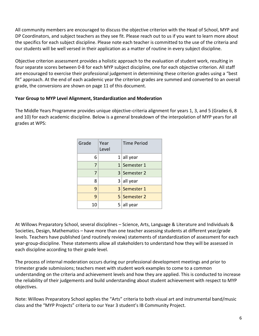All community members are encouraged to discuss the objective criterion with the Head of School, MYP and DP Coordinators, and subject teachers as they see fit. Please reach out to us if you want to learn more about the specifics for each subject discipline. Please note each teacher is committed to the use of the criteria and our students will be well versed in their application as a matter of routine in every subject discipline.

Objective criterion assessment provides a holistic approach to the evaluation of student work, resulting in four separate scores between 0-8 for each MYP subject discipline, one for each objective criterion. All staff are encouraged to exercise their professional judgement in determining these criterion grades using a "best fit" approach. At the end of each academic year the criterion grades are summed and converted to an overall grade, the conversions are shown on page 11 of this document.

#### **Year Group to MYP Level Alignment, Standardization and Moderation**

The Middle Years Programme provides unique objective-criteria alignment for years 1, 3, and 5 (Grades 6, 8 and 10) for each academic discipline. Below is a general breakdown of the interpolation of MYP years for all grades at WPS:

| Grade | Year<br>Level | Time Period  |
|-------|---------------|--------------|
| 6     |               | $1$ all year |
| 7     |               | 1 Semester 1 |
| 7     |               | 3 Semester 2 |
| 8     |               | $3$ all year |
| 9     |               | 3 Semester 1 |
| 9     |               | 5 Semester 2 |
| 10    |               | $5$ all year |

At Willows Preparatory School, several disciplines – Science, Arts, Language & Literature and Individuals & Societies, Design, Mathematics – have more than one teacher assessing students at different year/grade levels. Teachers have published (and routinely review) statements of standardization of assessment for each year-group-discipline. These statements allow all stakeholders to understand how they will be assessed in each discipline according to their grade level.

The process of internal moderation occurs during our professional development meetings and prior to trimester grade submissions; teachers meet with student work examples to come to a common understanding on the criteria and achievement levels and how they are applied. This is conducted to increase the reliability of their judgements and build understanding about student achievement with respect to MYP objectives.

Note: Willows Preparatory School applies the "Arts" criteria to both visual art and instrumental band/music class and the "MYP Projects" criteria to our Year 3 student's IB Community Project.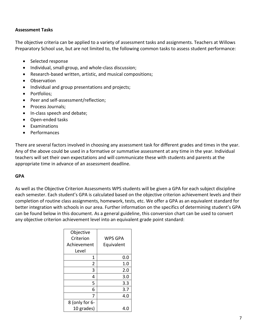#### **Assessment Tasks**

The objective criteria can be applied to a variety of assessment tasks and assignments. Teachers at Willows Preparatory School use, but are not limited to, the following common tasks to assess student performance:

- Selected response
- Individual, small-group, and whole-class discussion;
- Research-based written, artistic, and musical compositions;
- Observation
- Individual and group presentations and projects;
- Portfolios;
- Peer and self-assessment/reflection;
- Process Journals;
- In-class speech and debate;
- Open-ended tasks
- Examinations
- Performances

There are several factors involved in choosing any assessment task for different grades and times in the year. Any of the above could be used in a formative or summative assessment at any time in the year. Individual teachers will set their own expectations and will communicate these with students and parents at the appropriate time in advance of an assessment deadline.

#### **GPA**

As well as the Objective Criterion Assessments WPS students will be given a GPA for each subject discipline each semester. Each student's GPA is calculated based on the objective criterion achievement levels and their completion of routine class assignments, homework, tests, etc. We offer a GPA as an equivalent standard for better integration with schools in our area. Further information on the specifics of determining student's GPA can be found below in this document. As a general guideline, this conversion chart can be used to convert any objective criterion achievement level into an equivalent grade point standard:

| Objective      |                |  |
|----------------|----------------|--|
| Criterion      | <b>WPS GPA</b> |  |
| Achievement    | Equivalent     |  |
| Level          |                |  |
| 1              | 0.0            |  |
| 2              | 1.0            |  |
| 3              | 2.0            |  |
| 4              | 3.0            |  |
| 5              | 3.3            |  |
| 6              | 3.7            |  |
| 7              | 4.0            |  |
| 8 (only for 6- |                |  |
| 10 grades)     | 4.0            |  |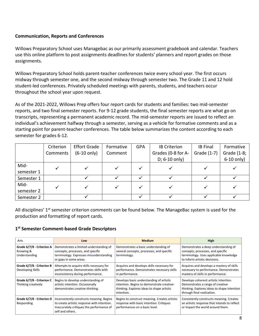#### **Communication, Reports and Conferences**

Willows Preparatory School uses Managebac as our primarily assessment gradebook and calendar. Teachers use this online platform to post assignments deadlines for students' planners and report grades on those assignments.

Willows Preparatory School holds parent-teacher conferences twice every school year. The first occurs midway through semester one, and the second midway through semester two. The Grade 11 and 12 hold student-led conferences. Privately scheduled meetings with parents, students, and teachers occur throughout the school year upon request.

As of the 2021-2022, Willows Prep offers four report cards for students and families: two mid-semester reports, and two final semester reports. For 9-12 grade students, the final semester reports are what go on transcripts, representing a permanent academic record. The mid-semester reports are issued to reflect an individual's achievement halfway through a semester, serving as a vehicle for formative comments and as a starting point for parent-teacher conferences. The table below summarizes the content according to each semester for grades 6-12.

|            | Criterion | <b>Effort Grade</b>   | Formative | <b>GPA</b> | <b>IB Criterion</b> | <b>IB Final</b> | Formative    |
|------------|-----------|-----------------------|-----------|------------|---------------------|-----------------|--------------|
|            | Comments  | $(6-10 \text{ only})$ | Comment   |            | Grades (0-8 for A-  | Grade (1-7)     | Grade (1-8;  |
|            |           |                       |           |            | D; 6-10 only)       |                 | $6-10$ only) |
| Mid-       |           |                       |           |            |                     |                 |              |
| semester 1 |           |                       |           |            |                     |                 |              |
| Semester 1 |           |                       |           |            |                     |                 |              |
| Mid-       |           |                       |           |            |                     |                 |              |
| semester 2 |           |                       |           |            |                     |                 |              |
| Semester 2 |           |                       |           |            |                     |                 |              |

All disciplines' 1<sup>st</sup> semester criterion comments can be found below. The ManageBac system is used for the production and formatting of report cards.

#### **1 st Semester Comment-based Grade Descriptors**

| Arts                                                    | Low                                                                                                                                                       | <b>Medium</b>                                                                                                                                      | High                                                                                                                                                    |
|---------------------------------------------------------|-----------------------------------------------------------------------------------------------------------------------------------------------------------|----------------------------------------------------------------------------------------------------------------------------------------------------|---------------------------------------------------------------------------------------------------------------------------------------------------------|
| Grade 6/7/8 - Criterion A<br>Knowing &<br>Understanding | Demonstrates a limited understanding of<br>concepts, processes, and specific<br>terminology. Expresses misunderstanding<br>or gaps in some areas.         | Demonstrates a basic understanding of<br>several concepts, processes, and specific<br>terminology.                                                 | Demonstrates a deep understanding of<br>concepts, processes, and specific<br>terminology. Uses applicable knowledge<br>to inform artistic decisions.    |
| Grade 6/7/8 - Criterion B<br>Developing Skills          | Attempts to acquire skills necessary for<br>performance. Demonstrates skills with<br>inconsistency during performance.                                    | Acquires and develops skills necessary for<br>performance. Demonstrates necessary skills<br>in performance.                                        | Acquires and develops a mastery of skills<br>necessary to performance. Demonstrates<br>mastery of skills in performance.                                |
| Grade 6/7/8 - Criterion C<br>Thinking creatively        | Begins to develop understanding of<br>artistic intention. Occasionally<br>demonstrates creative-thinking.                                                 | Develops basic understanding of artistic<br>intention. Begins to demonstrate creative-<br>thinking. Explores ideas to shape artistic<br>intention. | Develops coherent artistic intention.<br>Demonstrates a range of creative-<br>thinking. Explores ideas to shape intention<br>through final realization. |
| Grade 6/7/8 - Criterion D<br>Responding                 | Inconsistently constructs meaning. Begins<br>to create artistic response with intention.<br>Inaccurately critiques the performance of<br>self and others. | Begins to construct meaning. Creates artistic<br>response with basic intention. Critiques<br>performances on a basic level.                        | Consistently constructs meaning. Creates<br>an artistic response that intends to reflect<br>or impact the world around them.                            |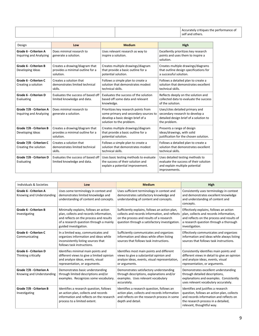| Accurately critiques the performance of |
|-----------------------------------------|
| self and others.                        |

| Design                                                  | Low                                                                             | <b>Medium</b>                                                                                                                                  | High                                                                                                                          |
|---------------------------------------------------------|---------------------------------------------------------------------------------|------------------------------------------------------------------------------------------------------------------------------------------------|-------------------------------------------------------------------------------------------------------------------------------|
| <b>Grade 6 - Criterion A</b><br>Inquiring and Analyzing | Does minimal research to<br>generate a solution.                                | Uses relevant research as way to<br>inspire a solution.                                                                                        | Excellently prioritizes key research<br>points and uses them to inspire a<br>solution.                                        |
| <b>Grade 6 - Criterion B</b><br>Developing Ideas        | Creates a drawing/diagram that<br>provides a minimal outline for a<br>solution. | Creates multiple drawings/diagram<br>that provide a basic outline for a<br>potential solution.                                                 | Creates multiple drawings/diagrams<br>that outline design specifications for<br>a successful solution.                        |
| Grade 6 - Criterion C<br>Creating a solution            | Creates a solution that<br>demonstrates limited technical<br>skills.            | Follows a simple plan to create a<br>solution that demonstrates modest<br>technical skills.                                                    | Follows a detailed plan to create a<br>solution that demonstrates excellent<br>technical skills.                              |
| <b>Grade 6 - Criterion D</b><br>Evaluating              | Evaluates the success of based off<br>limited knowledge and data.               | Evaluates the success of the solution<br>based off some data and relevant<br>knowledge.                                                        | Reflects deeply on the solution and<br>collected data to evaluate the success<br>of the solution.                             |
| Grade 7/8 - Criterion A<br>Inquiring and Analyzing      | Does minimal research to<br>generate a solution.                                | Prioritizes key research points from<br>some primary and secondary sources to<br>develop a basic design brief of a<br>solution to the problem. | Uses/cites detailed primary and<br>secondary research to develop a<br>detailed design brief of a solution to<br>the problem.  |
| Grade 7/8 - Criterion B<br>Developing Ideas             | Creates a drawing/diagram that<br>provides a minimal outline for a<br>solution. | Creates multiple drawings/diagram<br>that provide a basic outline for a<br>potential solution.                                                 | Presents a range of design<br>ideas/drawings, with solid<br>justification for the chosen solution.                            |
| Grade 7/8 - Criterion C<br>Creating the solution        | Creates a solution that<br>demonstrates limited technical<br>skills.            | Follows a simple plan to create a<br>solution that demonstrates modest<br>technical skills.                                                    | Follows a detailed plan to create a<br>solution that demonstrates excellent<br>technical skills.                              |
| Grade 7/8 - Criterion D<br>Evaluating                   | Evaluates the success of based off<br>limited knowledge and data.               | Uses basic testing methods to evaluate<br>the success of their solution and<br>explain a potential improvement.                                | Uses detailed testing methods to<br>evaluate the success of their solution<br>and explain multiple potential<br>improvements. |

| Individuals & Societies                              | Low                                                                                                                                                                                             | <b>Medium</b>                                                                                                                                                                                  | High                                                                                                                                                                                             |
|------------------------------------------------------|-------------------------------------------------------------------------------------------------------------------------------------------------------------------------------------------------|------------------------------------------------------------------------------------------------------------------------------------------------------------------------------------------------|--------------------------------------------------------------------------------------------------------------------------------------------------------------------------------------------------|
| Grade 6 - Criterion A<br>Knowing and Understanding   | Uses some terminology in context and<br>demonstrates limited knowledge and<br>understanding of content and concepts.                                                                            | Uses sufficient terminology in context and<br>demonstrates satisfactory knowledge and<br>understanding of content and concepts.                                                                | Consistently uses terminology in context<br>and demonstrates excellent knowledge<br>and understanding of content and<br>concepts.                                                                |
| <b>Grade 6 - Criterion B</b><br>Investigating        | Minimally explains, follows an action<br>plan, collects and records information,<br>and reflects on the process and results<br>of a research question through a mainly<br>guided investigation. | Sufficiently explains, follows an action plan,<br>collects and records information, and reflects<br>on the process and results of a research<br>question through a satisfactory investigation. | Effectively explains, follows an action<br>plan, collects and records information,<br>and reflects on the process and results of<br>a research question through a thorough<br>investigation.     |
| Grade 6 - Criterion C<br>Communicating               | In a limited way, communicates and<br>organizes information and ideas while<br>inconsistently listing sources that<br>follows task instructions.                                                | Sufficiently communicates and organizes<br>information and ideas while often listing<br>sources that follows task instructions.                                                                | Effectively communicates and organizes<br>information and ideas while always listing<br>sources that follows task instructions.                                                                  |
| <b>Grade 6 - Criterion D</b><br>Thinking critically  | Identifies minimal main points and<br>different views to give a limited opinion<br>and analyze ideas, events, visual<br>representation, or arguments.                                           | Identifies most main points and different<br>views to give a substantial opinion and<br>analyze ideas, events, visual representation,<br>or arguments.                                         | Consistently identifies main points and<br>different views in detail to give an opinion<br>and analyze ideas, events, visual<br>representation, or arguments.                                    |
| Grade 7/8 - Criterion A<br>Knowing and Understanding | Demonstrates basic understanding<br>through limited descriptions and/or<br>examples. Recognizes some vocabulary.                                                                                | Demonstrates satisfactory understanding<br>through descriptions, explanations and/or<br>examples. Uses relevant vocabulary<br>accurately.                                                      | Demonstrates excellent understanding<br>through detailed descriptions,<br>explanations and examples. Consistently<br>uses relevant vocabulary accurately.                                        |
| Grade 7/8 - Criterion B<br>Investigating             | Identifies a research question, follows<br>an action plan, collects and records<br>information and reflects on the research<br>process to a limited extent.                                     | Identifies a research question, follows an<br>action plan, collects and records information<br>and reflects on the research process in some<br>depth and detail.                               | Identifies and justifies a research<br>question, follows an action plan, collects<br>and records information and reflects on<br>the research process in a detailed,<br>relevant, thoughtful way. |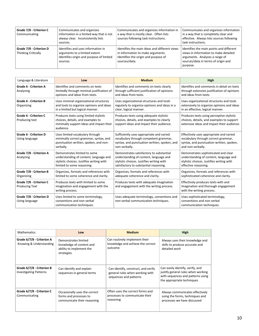| Grade 7/8 - Criterion C<br>Communicating              | Communicates and organizes<br>information in a limited way that is not<br>always clear. Inconsistently lists<br>sources.     | Communicates and organizes information in<br>a way that is mostly clear. Often lists<br>sources following task instructions.                | Communicates and organizes information<br>in a way that is completely clear and<br>effective. Always lists sources following<br>task instructions.                     |
|-------------------------------------------------------|------------------------------------------------------------------------------------------------------------------------------|---------------------------------------------------------------------------------------------------------------------------------------------|------------------------------------------------------------------------------------------------------------------------------------------------------------------------|
| Grade 7/8 - Criterion D<br><b>Thinking Critically</b> | Identifies and uses information in<br>arguments to a limited extent.<br>Identifies origin and purpose of limited<br>sources. | Identifies the main ideas and different views<br>in information to make arguments.<br>Identifies the origin and purpose of<br>sources/data. | Identifies the main points and different<br>views in information to make detailed<br>arguments. Analyzes a range of<br>sources/data in terms of origin and<br>purpose. |

| Language & Literature                            | Low                                                                                                                                               | <b>Medium</b>                                                                                                                                                             | High                                                                                                                                                |
|--------------------------------------------------|---------------------------------------------------------------------------------------------------------------------------------------------------|---------------------------------------------------------------------------------------------------------------------------------------------------------------------------|-----------------------------------------------------------------------------------------------------------------------------------------------------|
| <b>Grade 6 - Criterion A</b><br>Analyzing        | Identifies and comments on texts<br>limitedly through minimal justification of<br>opinions and ideas from texts.                                  | Identifies and comments on texts clearly<br>through sufficient justification of opinions<br>and ideas from texts.                                                         | Identifies and comments in detail on texts<br>through extensive justification of opinions<br>and ideas from texts.                                  |
| <b>Grade 6 - Criterion B</b><br>Organizing       | Uses minimal organizational structures<br>and tools to organize opinions and ideas<br>in a limited but logical manner.                            | Uses organizational structures and tools<br>regularly to organize opinions and ideas in a<br>clear, logical manner.                                                       | Uses organizational structures and tools<br>extensively to organize opinions and ideas<br>in an effective, logical manner.                          |
| Grade 6 - Criterion C<br>Producing text          | Produces texts using limited stylistic<br>choices, details, and examples to<br>minimally support ideas and impact their<br>audience.              | Produces texts using adequate stylistic<br>choices, details, and examples to clearly<br>support ideas and impact their audience.                                          | Produces texts using perceptive stylistic<br>choices, details, and examples to support<br>extensive ideas and impact their audience.                |
| <b>Grade 6 - Criterion D</b><br>Using language   | Uses limited vocabulary through<br>minimally correct grammar, syntax, and<br>punctuation written, spoken, and non-<br>verbally.                   | Sufficiently uses appropriate and varied<br>vocabulary through competent grammar,<br>syntax, and punctuation written, spoken, and<br>non-verbally.                        | Effectively uses appropriate and varied<br>vocabulary through correct grammar,<br>syntax, and punctuation written, spoken,<br>and non-verbally.     |
| Grade 7/8 - Criterion A<br>Analyzing             | Demonstrates limited to some<br>understanding of content, language and<br>stylistic choices. Justifies writing with<br>limited to some reasoning. | Demonstrates satisfactory to substantial<br>understanding of content, language and<br>stylistic choices. Justifies writing with<br>satisfactory to substantial reasoning. | Demonstrates sophisticated and clear<br>understanding of content, language and<br>stylistic choices. Justifies writing with<br>effective reasoning. |
| Grade 7/8 - Criterion B<br>Organizing            | Organizes, formats and references with<br>limited to some coherence and clarity.                                                                  | Organizes, formats and references with<br>adequate coherence and clarity.                                                                                                 | Organizes, formats and references with<br>sophisticated coherence and clarity.                                                                      |
| Grade 7/8 - Criterion C<br><b>Producing Text</b> | Produces texts with limited to some<br>imagination and engagement with the<br>writing process.                                                    | Produces texts with adequate imagination<br>and engagement with the writing process.                                                                                      | Effectively produces texts with and<br>imagination and thorough engagement<br>with the writing process.                                             |
| Grade 7/8 - Criterion D<br>Using language        | Uses limited to some terminology,<br>conventions and non-verbal<br>communication techniques.                                                      | Uses adequate terminology, conventions and<br>non-verbal communication techniques.                                                                                        | Uses sophisticated terminology,<br>conventions and non-verbal<br>communication techniques.                                                          |

| <b>Mathematics</b>                                         | Low                                                                                        | <b>Medium</b>                                                                                    | <b>High</b>                                                                                                                               |
|------------------------------------------------------------|--------------------------------------------------------------------------------------------|--------------------------------------------------------------------------------------------------|-------------------------------------------------------------------------------------------------------------------------------------------|
| Grade 6/7/8 - Criterion A<br>Knowing & Understanding       | Demonstrates limited<br>knowledge of content and<br>ability to implement the<br>strategies | Can routinely implement their<br>knowledge and achieve the correct<br>outcome                    | Always uses their knowledge and<br>skills to produce accurate and<br>detailed work                                                        |
| Grade 6/7/8 - Criterion B<br><b>Investigating Patterns</b> | Can identify and explain<br>sequences in general terms                                     | Can identify, construct, and verify<br>general rules when working with<br>sequences and patterns | Can easily identify, verify, and<br>justify general rules when working<br>with sequences and patterns using<br>the appropriate techniques |
| Grade 6/7/8 - Criterion C<br>Communicating                 | Occasionally uses the correct<br>forms and processes to<br>communicate their reasoning     | Often uses the correct forms and<br>processes to communicate their<br>reasoning                  | Always communicates effectively<br>using the forms, techniques and<br>processes we have discussed                                         |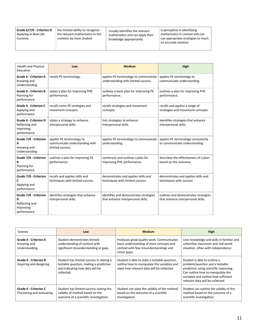| Grade 6/7/8 - Criterion D<br>Applying in Real-Life<br>Contexts | Has limited ability to recognize<br>the relevant mathematics in the<br>contexts we have studied | Usually identifies the relevant<br>mathematics and can apply their<br>knowledge appropriately | Is perceptive in identifying<br>mathematics in context and can<br>use appropriate strategies to reach<br>$^{\text{!}}$ an accurate solution |
|----------------------------------------------------------------|-------------------------------------------------------------------------------------------------|-----------------------------------------------------------------------------------------------|---------------------------------------------------------------------------------------------------------------------------------------------|
|                                                                |                                                                                                 |                                                                                               |                                                                                                                                             |

| <b>Health and Physical</b><br>Education                                    | Low                                                                             | <b>Medium</b>                                                                | High                                                                       |
|----------------------------------------------------------------------------|---------------------------------------------------------------------------------|------------------------------------------------------------------------------|----------------------------------------------------------------------------|
| <b>Grade 6 - Criterion A</b><br>Knowing and<br>Understanding               | recalls PE terminology.                                                         | applies PE terminology to communicate<br>understanding with limited success. | applies PE terminology to<br>communicate understanding.                    |
| <b>Grade 6 - Criterion B</b><br>Planning for<br>performance                | states a plan for improving PHE<br>performance.                                 | outlines a basic plan for improving PE<br>performance.                       | outlines a plan for improving PHE<br>performance.                          |
| Grade 6 - Criterion C<br>Applying and<br>performance                       | recalls some PE strategies and<br>movement concepts.                            | recalls strategies and movement<br>concepts.                                 | recalls and applies a range of<br>strategies and movement concepts.        |
| <b>Grade 6 - Criterion D</b><br>Reflecting and<br>improving<br>performance | states a strategy to enhance<br>interpersonal skills.                           | lists strategies to enhance<br>interpersonal skills.                         | identifies strategies that enhance<br>interpersonal skills.                |
| Grade 7/8 - Criterion<br>A<br>Knowing and<br>Understanding                 | applies PE terminology to<br>communicate understanding with<br>limited success. | applies PE terminology to communicate<br>understanding.                      | applies PE terminology consistently<br>to communicate understanding.       |
| Grade 7/8 - Criterion<br>B<br>Planning for<br>performance                  | outlines a plan for improving PE<br>performance.                                | constructs and outlines a plan for<br>improving PHE performance.             | describes the effectiveness of a plan<br>based on the outcome.             |
| Grade 7/8 - Criterion<br>C<br>Applying and<br>performance                  | recalls and applies skills and<br>techniques with limited success.              | demonstrates and applies skills and<br>techniques with limited success.      | demonstrates and applies skills and<br>techniques with success.            |
| Grade 7/8 - Criterion<br>D<br>Reflecting and<br>improving<br>performance   | identifies strategies that enhance<br>interpersonal skills.                     | identifies and demonstrates strategies<br>that enhance interpersonal skills. | outlines and demonstrates strategies<br>that enhance interpersonal skills. |

| Science                                                 | Low                                                                                                                                 | <b>Medium</b>                                                                                                                                 | <b>High</b>                                                                                                                                                                                                                |
|---------------------------------------------------------|-------------------------------------------------------------------------------------------------------------------------------------|-----------------------------------------------------------------------------------------------------------------------------------------------|----------------------------------------------------------------------------------------------------------------------------------------------------------------------------------------------------------------------------|
| Grade 6 - Criterion A<br>Knowing and<br>Understanding   | Student demonstrates limited<br>understanding of content with<br>significant misunderstanding or gaps.                              | Produces good-quality work. Communicates<br>basic understanding of most concepts and<br>context with few misunderstandings and<br>minor gaps. | Uses knowledge and skills in familiar and<br>unfamiliar classroom and real world<br>situation, often with independence                                                                                                     |
| <b>Grade 6 - Criterion B</b><br>Inquiring and designing | Student has limited success in stating a<br>testable question, making a prediction<br>and indicating how data will be<br>collected. | Student is able to state a testable question,<br>outline how to manipulate the variables and<br>state how relevant data will be collected.    | Student is able to outline a<br>problem/question and a testable<br>prediction using scientific reasoning.<br>Can outline how to manipulate the<br>variables and outline how sufficient<br>relevant data will be collected. |
| Grade 6 - Criterion C<br>Processing and evaluating      | Student has limited success stating the<br>validity of method based on the<br>outcome of a scientific investigation.                | Student can state the validity of the method<br>based on the outcome of a scientific<br>investigation.                                        | Student can outline the validity of the<br>method based on the outcome of a<br>scientific investigation.                                                                                                                   |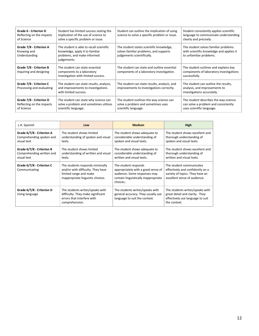| <b>Grade 6 - Criterion D</b><br>Reflecting on the impacts<br>of Science | Student has limited success stating the<br>implication of the use of science to<br>solve a specific problem or issue.     | Student can outline the implication of using<br>science to solve a specific problem or issue.                    | Student consistently applies scientific<br>language to communicate understanding<br>clearly and precisely.  |
|-------------------------------------------------------------------------|---------------------------------------------------------------------------------------------------------------------------|------------------------------------------------------------------------------------------------------------------|-------------------------------------------------------------------------------------------------------------|
| Grade 7/8 - Criterion A<br>Knowing and<br>Understanding                 | The student is able to recall scientific<br>knowledge, apply it to familiar<br>problems, and make informed<br>judgements. | The student states scientific knowledge,<br>solves familiar problems, and supports<br>judgements scientifically. | The student solves familiar problems<br>with scientific knowledge and applies it<br>to unfamiliar problems. |
| Grade 7/8 - Criterion B<br>Inquiring and designing                      | The student can state essential<br>components to a laboratory<br>investigation with limited success.                      | The student can state and outline essential<br>components of a laboratory investigation.                         | The student outlines and explains key<br>components of laboratory investigations<br>successfully.           |
| Grade 7/8 - Criterion C<br>Processing and evaluating                    | The student can state results, analysis,<br>and improvements to investigations<br>with limited success.                   | The student can state results, analysis, and<br>improvements to investigations correctly.                        | The student can outline the results,<br>analysis, and improvements to<br>investigations accurately.         |
| Grade 7/8 - Criterion D<br>Reflecting on the impacts<br>of Science      | The student can state why science can<br>solve a problem and sometimes utilizes<br>scientific language.                   | The student outlines the way science can<br>solve a problem and sometimes uses<br>scientific language.           | The student describes the way science<br>can solve a problem and consistently<br>uses scientific language.  |

| L.A. Spanish                                                          | Low                                                                                                                                 | <b>Medium</b>                                                                                                                                 | High                                                                                                                            |
|-----------------------------------------------------------------------|-------------------------------------------------------------------------------------------------------------------------------------|-----------------------------------------------------------------------------------------------------------------------------------------------|---------------------------------------------------------------------------------------------------------------------------------|
| Grade 6/7/8 - Criterion A<br>Comprehending spoken and<br>visual text  | The student shows limited<br>understanding of spoken and visual<br>texts.                                                           | The student shows adequate to<br>considerable understanding of<br>spoken and visual texts.                                                    | The student shows excellent and<br>thorough understanding of<br>spoken and visual texts.                                        |
| Grade 6/7/8 - Criterion B<br>Comprehending written and<br>visual text | The student shows limited<br>understanding of written and visual<br>texts.                                                          | The student shows adequate to<br>considerable understanding of<br>written and visual texts.                                                   | The student shows excellent and<br>thorough understanding of<br>written and visual texts.                                       |
| Grade 6/7/8 - Criterion C<br>Communicating                            | The students responds minimally<br>and/or with difficulty. They have<br>limited range and make<br>inappropriate linguistic choices. | The student responds<br>appropriately with a good sense of<br>audience. Some responses may<br>contain linguistically inappropriate<br>choices | The student communicates<br>effectively and confidently on a<br>variety of topics. They have an<br>excellent sense of audience. |
| Grade 6/7/8 - Criterion D<br>Using language                           | The students writes/speaks with<br>difficulty. They make significant<br>errors that interfere with<br>comprehension.                | The students writes/speaks with<br>general accuracy. They usually use<br>language to suit the context.                                        | The students writes/speaks with<br>great detail and clarity. They<br>effectively use language to suit<br>the context.           |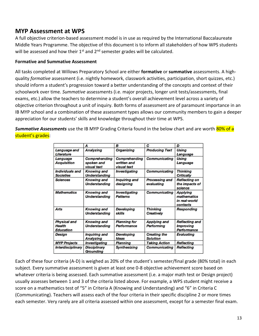# **MYP Assessment at WPS**

A full objective criterion-based assessment model is in use as required by the International Baccalaureate Middle Years Programme. The objective of this document is to inform all stakeholders of how WPS students will be assessed and how their  $1<sup>st</sup>$  and  $2<sup>nd</sup>$  semester grades will be calculated.

#### **Formative and Summative Assessment**

All tasks completed at Willows Preparatory School are either **formative** or **summative** assessments. A highquality *formative* assessment (i.e. nightly homework, classwork activities, participation, short quizzes, etc.) should inform a student's progression toward a better understanding of the concepts and context of their schoolwork over time. *Summative* assessments (i.e. major projects, longer unit tests/assessments, final exams, etc.) allow the teachers to determine a student's overall achievement level across a variety of objective criterion throughout a unit of inquiry. Both forms of assessment are of paramount importance in an IB MYP school and a combination of these assessment types allows our community members to gain a deeper appreciation for our students' skills and knowledge throughout their time at WPS.

*Summative Assessments* use the IB MYP Grading Criteria found in the below chart and are worth 80% of a student's grades:

|                                                          | A                                                        | B                                                  | C                                        | D                                                               |
|----------------------------------------------------------|----------------------------------------------------------|----------------------------------------------------|------------------------------------------|-----------------------------------------------------------------|
| Language and<br>Literature                               | <b>Analyzing</b>                                         | <b>Organizing</b>                                  | <b>Producing Text</b>                    | <b>Using</b><br>Language                                        |
| Language<br><b>Acquisition</b>                           | <b>Comprehending</b><br>spoken and<br><b>visual</b> text | <b>Comprehending</b><br>written and<br>visual text | <b>Communicating</b>                     | <b>Using</b><br>Language                                        |
| Individuals and<br><b>Societies</b>                      | <b>Knowing and</b><br><b>Understanding</b>               | <b>Investigating</b>                               | <b>Communicating</b>                     | <b>Thinking</b><br><b>Critically</b>                            |
| <b>Sciences</b>                                          | <b>Knowing and</b><br><b>Understanding</b>               | Inquiring and<br>designing                         | Processing and<br>evaluating             | <b>Reflecting on</b><br>the impacts of<br>science               |
| <b>Mathematics</b>                                       | <b>Knowing and</b><br><b>Understanding</b>               | <b>Investigating</b><br><b>Patterns</b>            | <b>Communicating</b>                     | <b>Applying</b><br>mathematics<br>in real-world<br>contexts     |
| Arts                                                     | <b>Knowing and</b><br><b>Understanding</b>               | <b>Developing</b><br>skills                        | <b>Thinking</b><br><b>Creatively</b>     | <b>Responding</b>                                               |
| <b>Physical and</b><br><b>Health</b><br><b>Education</b> | <b>Knowing and</b><br><b>Understanding</b>               | <b>Planning for</b><br><b>Performance</b>          | <b>Applying and</b><br><b>Performing</b> | <b>Reflecting and</b><br><b>Improving</b><br><b>Performance</b> |
| Design                                                   | Inquiring and<br><b>Analyzing</b>                        | <b>Developing</b><br><b>Ideas</b>                  | <b>Creating the</b><br><b>Solution</b>   | <b>Evaluating</b>                                               |
| <b>MYP Projects</b>                                      | <b>Investigating</b>                                     | <b>Planning</b>                                    | <b>Taking Action</b>                     | <b>Reflecting</b>                                               |
| <b>Interdisciplinary</b>                                 | <b>Disciplinary</b><br><b>Grounding</b>                  | <b>Synthesizing</b>                                | <b>Communicating</b>                     | <b>Reflecting</b>                                               |

Each of these four criteria (A-D) is weighed as 20% of the student's semester/final grade (80% total) in each subject. Every summative assessment is given at least one 0-8 objective achievement score based on whatever criteria is being assessed. Each summative assessment (i.e. a major math test or Design project) usually assesses between 1 and 3 of the criteria listed above. For example, a WPS student might receive a score on a mathematics test of "5" in Criteria A (Knowing and Understanding) and "6" in Criteria C (Communicating). Teachers will assess each of the four criteria in their specific discipline 2 or more times each semester. Very rarely are all criteria assessed within one assessment, except for a semester final exam.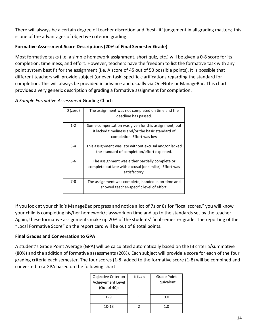There will always be a certain degree of teacher discretion and 'best-fit' judgement in all grading matters; this is one of the advantages of objective criterion grading.

#### **Formative Assessment Score Descriptions (20% of Final Semester Grade)**

Most formative tasks (i.e. a simple homework assignment, short quiz, etc.) will be given a 0-8 score for its completion, timeliness, and effort. However, teachers have the freedom to list the formative task with any point system best fit for the assignment (I.e. A score of 45 out of 50 possible points). It is possible that different teachers will provide subject (or even task) specific clarifications regarding the standard for completion. This will always be provided in advance and usually via OneNote or ManageBac. This chart provides a very generic description of grading a formative assignment for completion.

*A Sample Formative Assessment* Grading Chart:

| 0 (zero) | The assignment was not completed on time and the<br>deadline has passed.                                                                |
|----------|-----------------------------------------------------------------------------------------------------------------------------------------|
| $1 - 2$  | Some compensation was given for this assignment, but<br>it lacked timeliness and/or the basic standard of<br>completion. Effort was low |
| $3 - 4$  | This assignment was late without excusal and/or lacked<br>the standard of completion/effort expected.                                   |
| $5-6$    | The assignment was either partially complete or<br>complete but late with excusal (or similar). Effort was<br>satisfactory.             |
| 7-8      | The assignment was complete, handed in on-time and<br>showed teacher-specific level of effort.                                          |

If you look at your child's ManageBac progress and notice a lot of 7s or 8s for "local scores," you will know your child is completing his/her homework/classwork on time and up to the standards set by the teacher. Again, these formative assignments make up 20% of the students' final semester grade. The reporting of the "Local Formative Score" on the report card will be out of 8 total points.

### **Final Grades and Conversation to GPA**

A student's Grade Point Average (GPA) will be calculated automatically based on the IB criteria/summative (80%) and the addition of formative assessments (20%). Each subject will provide a score for each of the four grading criteria each semester. The four scores (1-8) added to the formative score (1-8) will be combined and converted to a GPA based on the following chart:

| Objective Criterion<br><b>Achievement Level</b><br>(Out of 40): | <b>IB Scale</b> | Grade Point<br>Equivalent |
|-----------------------------------------------------------------|-----------------|---------------------------|
| በ-ዓ                                                             |                 | 0.0                       |
| $10-13$                                                         | 7               | 1.0                       |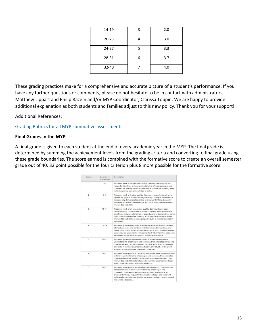| 14-19     | 3 | 2.0 |
|-----------|---|-----|
| $20 - 23$ |   | 3.0 |
| $24 - 27$ | 5 | 3.3 |
| 28-31     | 6 | 3.7 |
| 32-40     |   | 4.0 |

These grading practices make for a comprehensive and accurate picture of a student's performance. If you have any further questions or comments, please do not hesitate to be in contact with administrators, Matthew Lippart and Philip Razem and/or MYP Coordinator, Clarissa Toupin. We are happy to provide additional explanation as both students and families adjust to this new policy. Thank you for your support!

Additional References:

#### [Grading Rubrics for all MYP summative assessments](http://cppcurriculum.weebly.com/myp-subject-guides.html)

#### **Final Grades in the MYP**

A final grade is given to each student at the end of every academic year in the MYP. The final grade is determined by summing the achievement levels from the grading criteria and converting to final grade using these grade boundaries. The score earned is combined with the formative score to create an overall semester grade out of 40: 32 point possible for the four criterion plus 8 more possible for the formative score.

| Grade          | <b>Boundary</b><br>quidelines | Descriptor                                                                                                                                                                                                                                                                                                                                                        |
|----------------|-------------------------------|-------------------------------------------------------------------------------------------------------------------------------------------------------------------------------------------------------------------------------------------------------------------------------------------------------------------------------------------------------------------|
| 1              | $1 - 5$                       | Produces work of very limited quality. Conveys many significant<br>misunderstandings or lacks understanding of most concepts and<br>contexts. Very rarely demonstrates critical or creative thinking. Very<br>inflexible, rarely using knowledge or skills.                                                                                                       |
| $\overline{2}$ | $6 - 9$                       | Produces work of limited quality. Expresses misunderstandings or<br>significant gaps in understanding for many concepts and contexts.<br>Infrequently demonstrates critical or creative thinking. Generally<br>inflexible in the use of knowledge and skills, infrequently applying<br>knowledge and skills.                                                      |
| 3              | $10 - 14$                     | Produces work of an acceptable quality. Communicates basic<br>understanding of many concepts and contexts, with occasionally<br>significant misunderstandings or gaps. Begins to demonstrate some<br>basic critical and creative thinking. Is often inflexible in the use of<br>knowledge and skills, requiring support even in familiar classroom<br>situations. |
| $\overline{4}$ | $15 - 18$                     | Produces good-quality work. Communicates basic understanding<br>of most concepts and contexts with few misunderstandings and<br>minor gaps. Often demonstrates basic critical and creative thinking.<br>Uses knowledge and skills with some flexibility in familiar classroom<br>situations, but requires support in unfamiliar situations.                       |
| 5              | $19 - 23$                     | Produces generally high-quality work. Communicates secure<br>understanding of concepts and contexts. Demonstrates critical and<br>creative thinking, sometimes with sophistication. Uses knowledge<br>and skills in familiar classroom and real-world situations and, with<br>support, some unfamiliar real-world situations.                                     |
| 6              | $24 - 27$                     | Produces high-quality, occasionally innovative work. Communicates<br>extensive understanding of concepts and contexts. Demonstrates<br>critical and creative thinking, frequently with sophistication. Uses<br>knowledge and skills in familiar and unfamiliar classroom and real-<br>world situations, often with independence.                                  |
| $\overline{7}$ | $28 - 32$                     | Produces high-quality, frequently innovative work. Communicates<br>comprehensive, nuanced understanding of concepts and<br>contexts. Consistently demonstrates sophisticated critical and<br>creative thinking. Frequently transfers knowledge and skills with<br>independence and expertise in a variety of complex classroom and<br>real-world situations.      |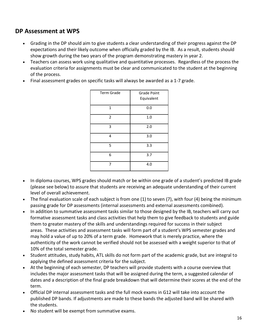# <span id="page-15-0"></span>**DP Assessment at WPS**

- Grading in the DP should aim to give students a clear understanding of their progress against the DP expectations and their likely outcome when officially graded by the IB. As a result, students should show growth during the two years of the program demonstrating mastery in year 2.
- Teachers can assess work using qualitative and quantitative processes. Regardless of the process the evaluation criteria for assignments must be clear and communicated to the student at the beginning of the process.
- Final assessment grades on specific tasks will always be awarded as a 1-7 grade.

| <b>Term Grade</b> | <b>Grade Point</b><br>Equivalent |
|-------------------|----------------------------------|
| 1                 | 0.0                              |
| $\overline{2}$    | 1.0                              |
| 3                 | 2.0                              |
| 4                 | 3.0                              |
| 5                 | 3.3                              |
| 6                 | 3.7                              |
| 7                 | 4.0                              |

- In diploma courses, WPS grades should match or be within one grade of a student's predicted IB grade (please see below) to assure that students are receiving an adequate understanding of their current level of overall achievement.
- The final evaluation scale of each subject is from one (1) to seven (7), with four (4) being the minimum passing grade for DP assessments (internal assessments and external assessments combined).
- In addition to summative assessment tasks similar to those designed by the IB, teachers will carry out formative assessment tasks and class activities that help them to give feedback to students and guide them to greater mastery of the skills and understandings required for success in their subject areas. These activities and assessment tasks will form part of a student's WPS semester grades and may hold a value of up to 20% of a term grade. Homework that is merely practice, where the authenticity of the work cannot be verified should not be assessed with a weight superior to that of 10% of the total semester grade.
- Student attitudes, study habits, ATL skills do not form part of the academic grade, but are integral to applying the defined assessment criteria for the subject.
- At the beginning of each semester, DP teachers will provide students with a course overview that includes the major assessment tasks that will be assigned during the term, a suggested calendar of dates and a description of the final grade breakdown that will determine their scores at the end of the term.
- Official DP internal assessment tasks and the full mock exams in G12 will take into account the published DP bands. If adjustments are made to these bands the adjusted band will be shared with the students.
- No student will be exempt from summative exams.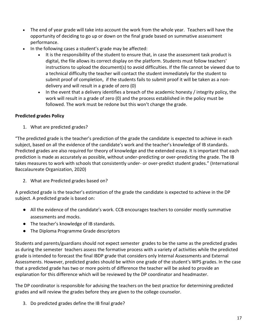- The end of year grade will take into account the work from the whole year. Teachers will have the opportunity of deciding to go up or down on the final grade based on summative assessment performance.
- In the following cases a student's grade may be affected:
	- It is the responsibility of the student to ensure that, in case the assessment task product is digital, the file allows its correct display on the platform. Students must follow teachers' instructions to upload the document(s) to avoid difficulties. If the file cannot be viewed due to a technical difficulty the teacher will contact the student immediately for the student to submit proof of completion, if the students fails to submit proof it will be taken as a nondelivery and will result in a grade of zero (0)
	- In the event that a delivery identifies a breach of the academic honesty / integrity policy, the work will result in a grade of zero (0) and the process established in the policy must be followed. The work must be redone but this won't change the grade.

#### **Predicted grades Policy**

1. What are predicted grades?

"The predicted grade is the teacher's prediction of the grade the candidate is expected to achieve in each subject, based on all the evidence of the candidate's work and the teacher's knowledge of IB standards. Predicted grades are also required for theory of knowledge and the extended essay. It is important that each prediction is made as accurately as possible, without under-predicting or over-predicting the grade. The IB takes measures to work with schools that consistently under- or over-predict student grades." (International Baccalaureate Organization, 2020)

2. What are Predicted grades based on?

A predicted grade is the teacher's estimation of the grade the candidate is expected to achieve in the DP subject. A predicted grade is based on:

- All the evidence of the candidate's work. CCB encourages teachers to consider mostly summative assessments and mocks.
- The teacher's knowledge of IB standards.
- The Diploma Programme Grade descriptors

Students and parents/guardians should not expect semester grades to be the same as the predicted grades as during the semester teachers assess the formative process with a variety of activities while the predicted grade is intended to forecast the final IBDP grade that considers only Internal Assessments and External Assessments. However, predicted grades should be within one grade of the student's WPS grades. In the case that a predicted grade has two or more points of difference the teacher will be asked to provide an explanation for this difference which will be reviewed by the DP coordinator and headmaster.

The DP coordinator is responsible for advising the teachers on the best practice for determining predicted grades and will review the grades before they are given to the college counselor.

3. Do predicted grades define the IB final grade?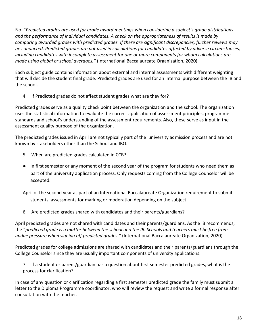No. "*Predicted grades are used for grade award meetings when considering a subject's grade distributions and the performance of individual candidates. A check on the appropriateness of results is made by comparing awarded grades with predicted grades. If there are significant discrepancies, further reviews may be conducted. Predicted grades are not used in calculations for candidates affected by adverse circumstances, including candidates with incomplete assessment for one or more components for whom calculations are made using global or school averages."* (International Baccalaureate Organization, 2020)

Each subject guide contains information about external and internal assessments with different weighting that will decide the student final grade. Predicted grades are used for an internal purpose between the IB and the school.

4. If Predicted grades do not affect student grades what are they for?

Predicted grades serve as a quality check point between the organization and the school. The organization uses the statistical information to evaluate the correct application of assessment principles, programme standards and school's understanding of the assessment requirements. Also, these serve as input in the assessment quality purpose of the organization.

The predicted grades issued in April are not typically part of the university admission process and are not known by stakeholders other than the School and IBO.

- 5. When are predicted grades calculated in CCB?
- In first semester or any moment of the second year of the program for students who need them as part of the university application process. Only requests coming from the College Counselor will be accepted.

April of the second year as part of an International Baccalaureate Organization requirement to submit students' assessments for marking or moderation depending on the subject.

6. Are predicted grades shared with candidates and their parents/guardians?

April predicted grades are not shared with candidates and their parents/guardians. As the IB recommends, the "*predicted grade is a matter between the school and the IB. Schools and teachers must be free from undue pressure when signing off predicted grades."* (International Baccalaureate Organization, 2020)

Predicted grades for college admissions are shared with candidates and their parents/guardians through the College Counselor since they are usually important components of university applications.

7. If a student or parent/guardian has a question about first semester predicted grades, what is the process for clarification?

In case of any question or clarification regarding a first semester predicted grade the family must submit a letter to the Diploma Programme coordinator, who will review the request and write a formal response after consultation with the teacher.